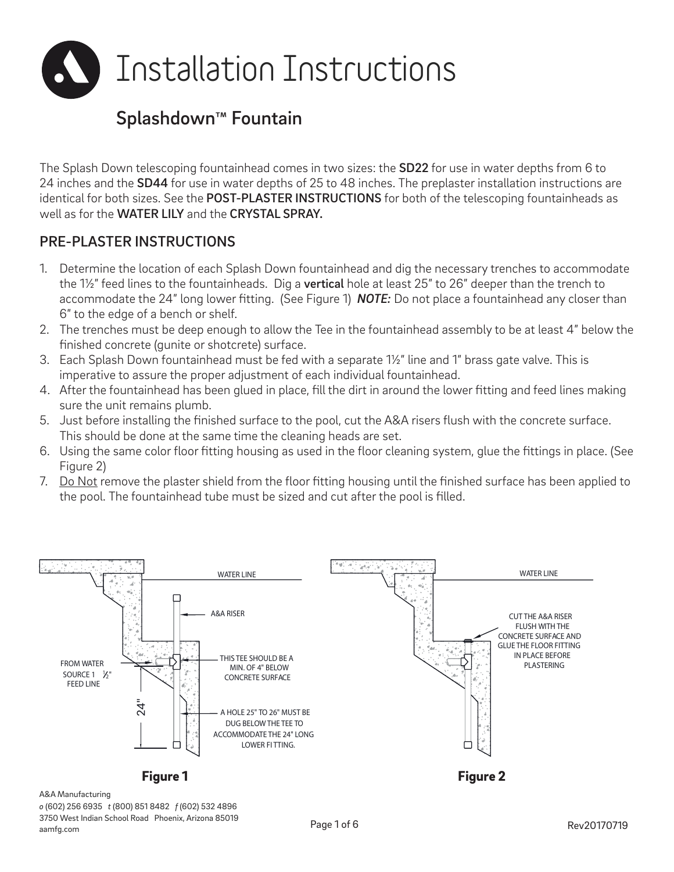

# Splashdown™ Fountain

The Splash Down telescoping fountainhead comes in two sizes: the SD22 for use in water depths from 6 to 24 inches and the SD44 for use in water depths of 25 to 48 inches. The preplaster installation instructions are identical for both sizes. See the POST-PLASTER INSTRUCTIONS for both of the telescoping fountainheads as well as for the WATER LILY and the CRYSTAL SPRAY.

### PRE-PLASTER INSTRUCTIONS

- 1. Determine the location of each Splash Down fountainhead and dig the necessary trenches to accommodate the 1½" feed lines to the fountainheads. Dig a **vertical** hole at least 25" to 26" deeper than the trench to accommodate the 24" long lower fitting. (See Figure 1) *NOTE:* Do not place a fountainhead any closer than 6" to the edge of a bench or shelf.
- 2. The trenches must be deep enough to allow the Tee in the fountainhead assembly to be at least 4" below the finished concrete (gunite or shotcrete) surface.
- 3. Each Splash Down fountainhead must be fed with a separate 1½" line and 1" brass gate valve. This is imperative to assure the proper adjustment of each individual fountainhead.
- 4. After the fountainhead has been glued in place, fill the dirt in around the lower fitting and feed lines making sure the unit remains plumb.
- 5. Just before installing the finished surface to the pool, cut the A&A risers flush with the concrete surface. This should be done at the same time the cleaning heads are set.
- 6. Using the same color floor fitting housing as used in the floor cleaning system, glue the fittings in place. (See Figure 2)
- 7. Do Not remove the plaster shield from the floor fitting housing until the finished surface has been applied to the pool. The fountainhead tube must be sized and cut after the pool is filled.



A&A Manufacturing

*o* (602) 256 6935 *t* (800) 851 8482 *f* (602) 532 4896 3750 West Indian School Road Phoenix, Arizona 85019 aamfg.com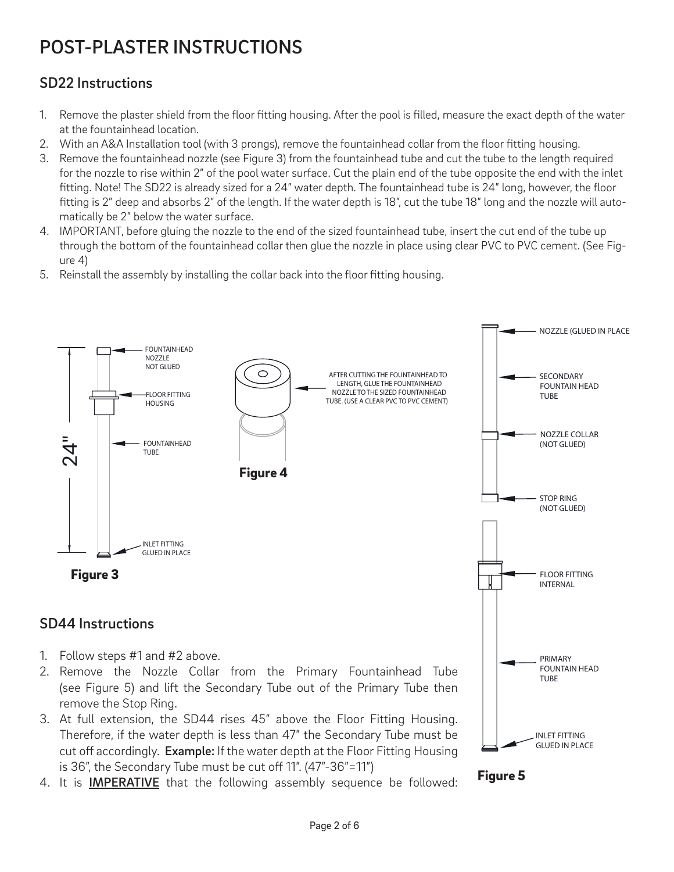# POST-PLASTER INSTRUCTIONS

### SD22 Instructions

- 1. Remove the plaster shield from the floor fitting housing. After the pool is filled, measure the exact depth of the water at the fountainhead location.
- 2. With an A&A Installation tool (with 3 prongs), remove the fountainhead collar from the floor fitting housing.
- 3. Remove the fountainhead nozzle (see Figure 3) from the fountainhead tube and cut the tube to the length required for the nozzle to rise within 2" of the pool water surface. Cut the plain end of the tube opposite the end with the inlet fitting. Note! The SD22 is already sized for a 24" water depth. The fountainhead tube is 24" long, however, the floor fitting is 2" deep and absorbs 2" of the length. If the water depth is 18", cut the tube 18" long and the nozzle will automatically be 2" below the water surface.
- 4. IMPORTANT, before gluing the nozzle to the end of the sized fountainhead tube, insert the cut end of the tube up through the bottom of the fountainhead collar then glue the nozzle in place using clear PVC to PVC cement. (See Figure 4)
- 5. Reinstall the assembly by installing the collar back into the floor fitting housing.



- (see Figure 5) and lift the Secondary Tube out of the Primary Tube then remove the Stop Ring.
- 3. At full extension, the SD44 rises 45" above the Floor Fitting Housing. Therefore, if the water depth is less than 47" the Secondary Tube must be cut off accordingly. Example: If the water depth at the Floor Fitting Housing is 36", the Secondary Tube must be cut off 11". (47"-36"=11")
- 4. It is IMPERATIVE that the following assembly sequence be followed:



INLET FITTING GLUED IN PLACE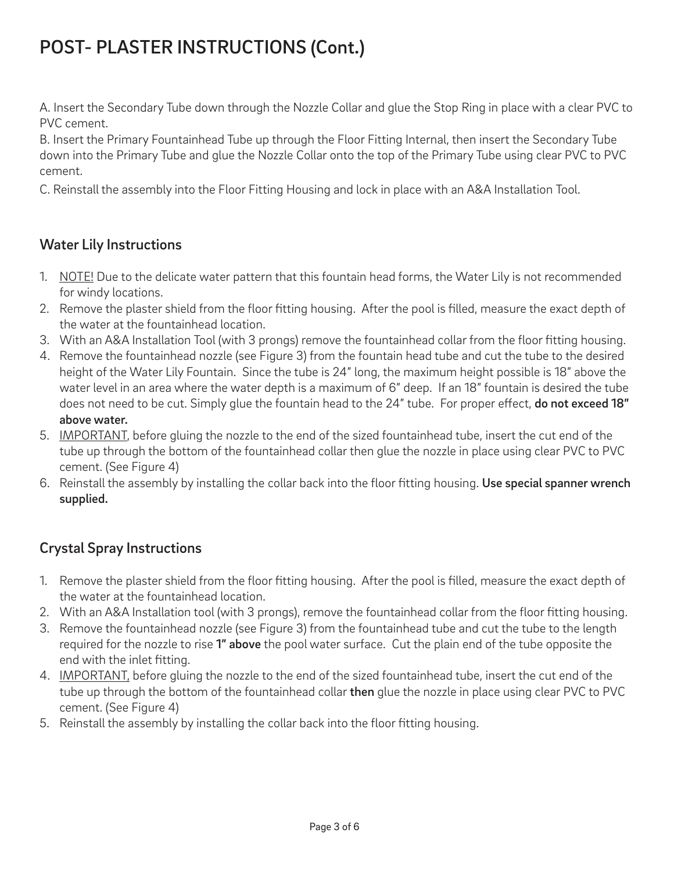# POST- PLASTER INSTRUCTIONS (Cont.)

A. Insert the Secondary Tube down through the Nozzle Collar and glue the Stop Ring in place with a clear PVC to PVC cement.

B. Insert the Primary Fountainhead Tube up through the Floor Fitting Internal, then insert the Secondary Tube down into the Primary Tube and glue the Nozzle Collar onto the top of the Primary Tube using clear PVC to PVC cement.

C. Reinstall the assembly into the Floor Fitting Housing and lock in place with an A&A Installation Tool.

### Water Lily Instructions

- 1. NOTE! Due to the delicate water pattern that this fountain head forms, the Water Lily is not recommended for windy locations.
- 2. Remove the plaster shield from the floor fitting housing. After the pool is filled, measure the exact depth of the water at the fountainhead location.
- 3. With an A&A Installation Tool (with 3 prongs) remove the fountainhead collar from the floor fitting housing.
- 4. Remove the fountainhead nozzle (see Figure 3) from the fountain head tube and cut the tube to the desired height of the Water Lily Fountain. Since the tube is 24" long, the maximum height possible is 18" above the water level in an area where the water depth is a maximum of 6" deep. If an 18" fountain is desired the tube does not need to be cut. Simply glue the fountain head to the 24" tube. For proper effect, do not exceed 18" above water.
- 5. IMPORTANT, before gluing the nozzle to the end of the sized fountainhead tube, insert the cut end of the tube up through the bottom of the fountainhead collar then glue the nozzle in place using clear PVC to PVC cement. (See Figure 4)
- 6. Reinstall the assembly by installing the collar back into the floor fitting housing. Use special spanner wrench supplied.

### Crystal Spray Instructions

- 1. Remove the plaster shield from the floor fitting housing. After the pool is filled, measure the exact depth of the water at the fountainhead location.
- 2. With an A&A Installation tool (with 3 prongs), remove the fountainhead collar from the floor fitting housing.
- 3. Remove the fountainhead nozzle (see Figure 3) from the fountainhead tube and cut the tube to the length required for the nozzle to rise 1" above the pool water surface. Cut the plain end of the tube opposite the end with the inlet fitting.
- 4. IMPORTANT, before gluing the nozzle to the end of the sized fountainhead tube, insert the cut end of the tube up through the bottom of the fountainhead collar then glue the nozzle in place using clear PVC to PVC cement. (See Figure 4)
- 5. Reinstall the assembly by installing the collar back into the floor fitting housing.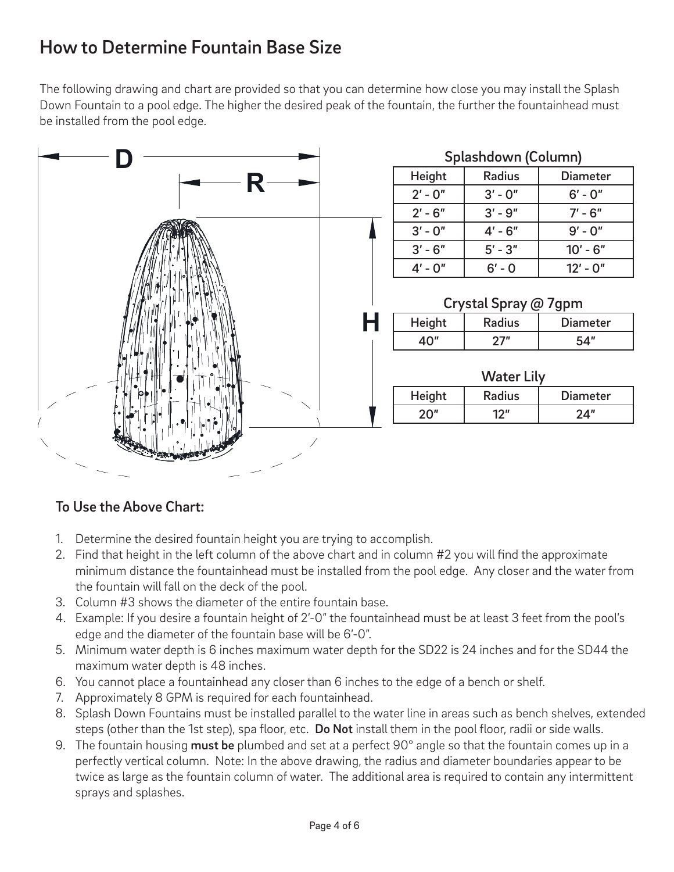# How to Determine Fountain Base Size

The following drawing and chart are provided so that you can determine how close you may install the Splash Down Fountain to a pool edge. The higher the desired peak of the fountain, the further the fountainhead must be installed from the pool edge.



### To Use the Above Chart:

- 1. Determine the desired fountain height you are trying to accomplish.
- 2. Find that height in the left column of the above chart and in column #2 you will find the approximate minimum distance the fountainhead must be installed from the pool edge. Any closer and the water from the fountain will fall on the deck of the pool.
- 3. Column #3 shows the diameter of the entire fountain base.
- 4. Example: If you desire a fountain height of 2'-0" the fountainhead must be at least 3 feet from the pool's edge and the diameter of the fountain base will be 6'-0".
- 5. Minimum water depth is 6 inches maximum water depth for the SD22 is 24 inches and for the SD44 the maximum water depth is 48 inches.
- 6. You cannot place a fountainhead any closer than 6 inches to the edge of a bench or shelf.
- 7. Approximately 8 GPM is required for each fountainhead.
- 8. Splash Down Fountains must be installed parallel to the water line in areas such as bench shelves, extended steps (other than the 1st step), spa floor, etc. Do Not install them in the pool floor, radii or side walls.
- 9. The fountain housing must be plumbed and set at a perfect 90° angle so that the fountain comes up in a perfectly vertical column. Note: In the above drawing, the radius and diameter boundaries appear to be twice as large as the fountain column of water. The additional area is required to contain any intermittent sprays and splashes.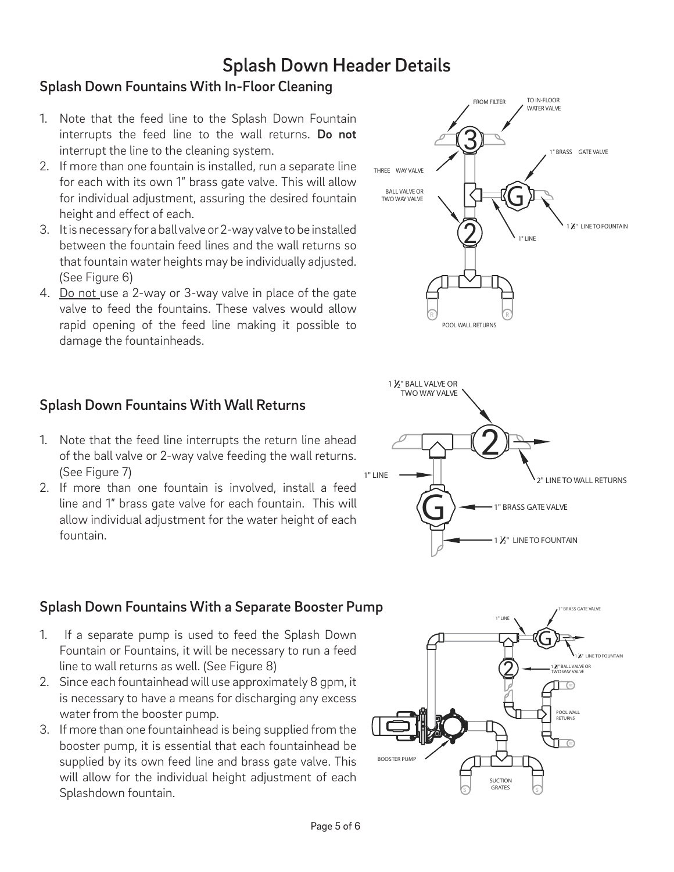## Splash Down Header Details

### Splash Down Fountains With In-Floor Cleaning

- 1. Note that the feed line to the Splash Down Fountain interrupts the feed line to the wall returns. Do not interrupt the line to the cleaning system.
- 2. If more than one fountain is installed, run a separate line for each with its own 1" brass gate valve. This will allow for individual adjustment, assuring the desired fountain height and effect of each.
- 3. It is necessary for a ball valve or 2-way valve to be installed between the fountain feed lines and the wall returns so that fountain water heights may be individually adjusted. (See Figure 6)
- 4. Do not use a 2-way or 3-way valve in place of the gate valve to feed the fountains. These valves would allow rapid opening of the feed line making it possible to damage the fountainheads.

### Splash Down Fountains With Wall Returns

- 1. Note that the feed line interrupts the return line ahead of the ball valve or 2-way valve feeding the wall returns. (See Figure 7)
- 2. If more than one fountain is involved, install a feed line and 1" brass gate valve for each fountain. This will allow individual adjustment for the water height of each fountain.

#### Splash Down Fountains With a Separate Booster Pump

- 1. If a separate pump is used to feed the Splash Down Fountain or Fountains, it will be necessary to run a feed line to wall returns as well. (See Figure 8)
- 2. Since each fountainhead will use approximately 8 gpm, it is necessary to have a means for discharging any excess water from the booster pump.
- 3. If more than one fountainhead is being supplied from the booster pump, it is essential that each fountainhead be supplied by its own feed line and brass gate valve. This will allow for the individual height adjustment of each Splashdown fountain.





1" BRASS GATE VALVE

1  $V_2$ " LINE TO FOUNTAIN